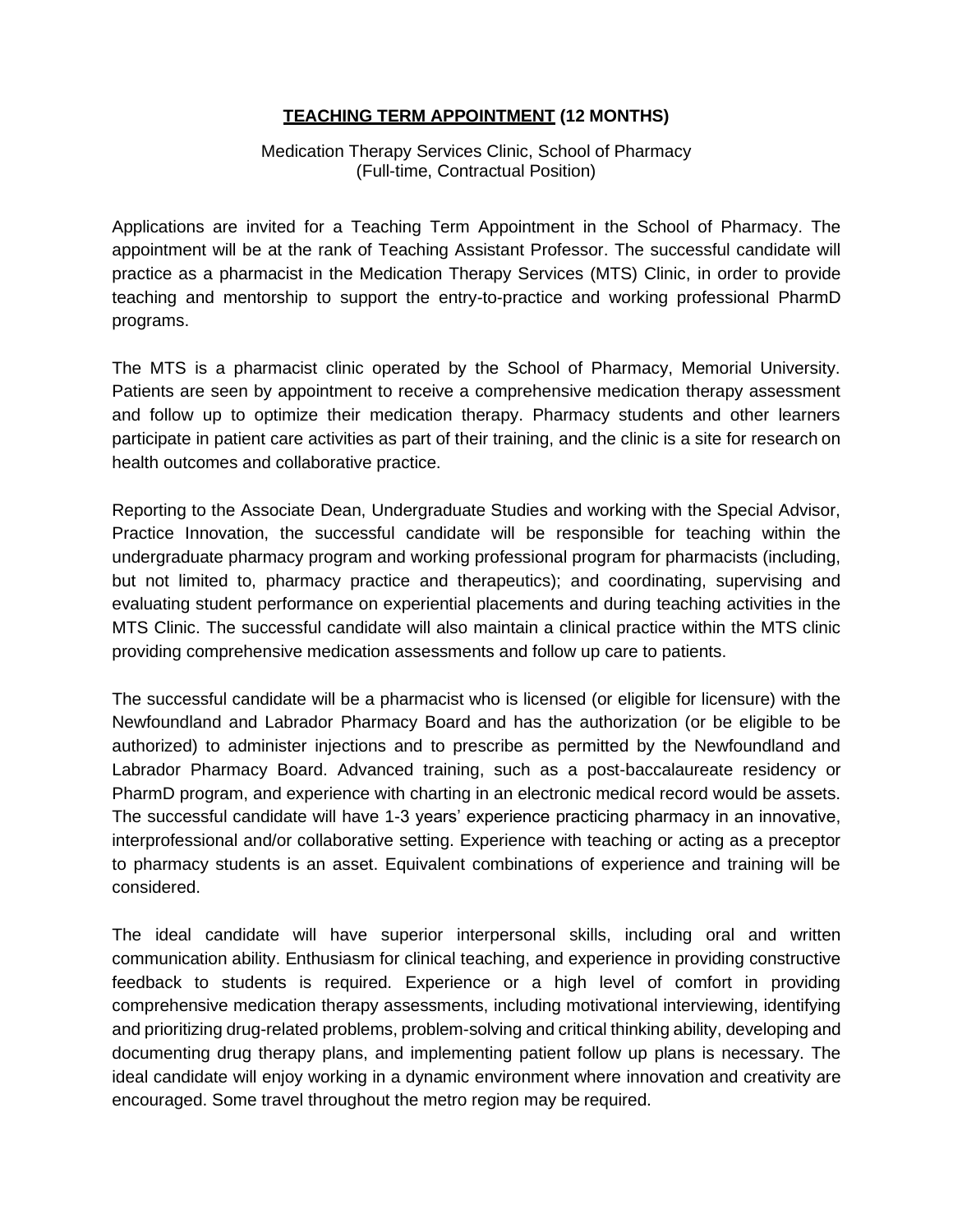## **TEACHING TERM APPOINTMENT (12 MONTHS)**

Medication Therapy Services Clinic, School of Pharmacy (Full-time, Contractual Position)

Applications are invited for a Teaching Term Appointment in the School of Pharmacy. The appointment will be at the rank of Teaching Assistant Professor. The successful candidate will practice as a pharmacist in the Medication Therapy Services (MTS) Clinic, in order to provide teaching and mentorship to support the entry-to-practice and working professional PharmD programs.

The MTS is a pharmacist clinic operated by the School of Pharmacy, Memorial University. Patients are seen by appointment to receive a comprehensive medication therapy assessment and follow up to optimize their medication therapy. Pharmacy students and other learners participate in patient care activities as part of their training, and the clinic is a site for research on health outcomes and collaborative practice.

Reporting to the Associate Dean, Undergraduate Studies and working with the Special Advisor, Practice Innovation, the successful candidate will be responsible for teaching within the undergraduate pharmacy program and working professional program for pharmacists (including, but not limited to, pharmacy practice and therapeutics); and coordinating, supervising and evaluating student performance on experiential placements and during teaching activities in the MTS Clinic. The successful candidate will also maintain a clinical practice within the MTS clinic providing comprehensive medication assessments and follow up care to patients.

The successful candidate will be a pharmacist who is licensed (or eligible for licensure) with the Newfoundland and Labrador Pharmacy Board and has the authorization (or be eligible to be authorized) to administer injections and to prescribe as permitted by the Newfoundland and Labrador Pharmacy Board. Advanced training, such as a post-baccalaureate residency or PharmD program, and experience with charting in an electronic medical record would be assets. The successful candidate will have 1-3 years' experience practicing pharmacy in an innovative, interprofessional and/or collaborative setting. Experience with teaching or acting as a preceptor to pharmacy students is an asset. Equivalent combinations of experience and training will be considered.

The ideal candidate will have superior interpersonal skills, including oral and written communication ability. Enthusiasm for clinical teaching, and experience in providing constructive feedback to students is required. Experience or a high level of comfort in providing comprehensive medication therapy assessments, including motivational interviewing, identifying and prioritizing drug-related problems, problem-solving and critical thinking ability, developing and documenting drug therapy plans, and implementing patient follow up plans is necessary. The ideal candidate will enjoy working in a dynamic environment where innovation and creativity are encouraged. Some travel throughout the metro region may be required.